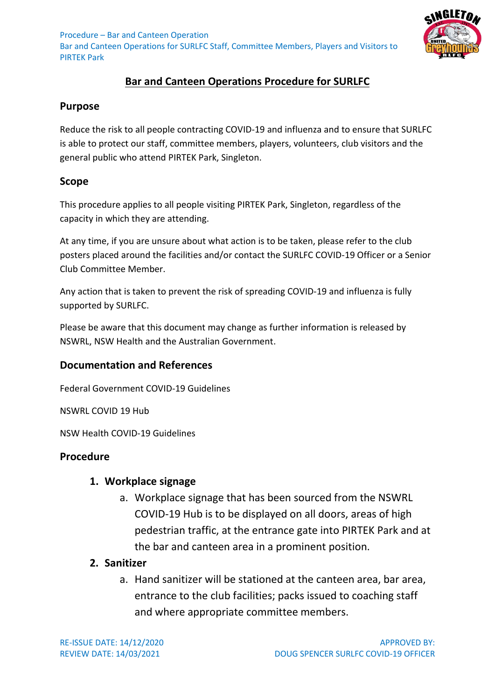Procedure – Bar and Canteen Operation Bar and Canteen Operations for SURLFC Staff, Committee Members, Players and Visitors to PIRTEK Park



# **Bar and Canteen Operations Procedure for SURLFC**

## **Purpose**

Reduce the risk to all people contracting COVID-19 and influenza and to ensure that SURLFC is able to protect our staff, committee members, players, volunteers, club visitors and the general public who attend PIRTEK Park, Singleton.

## **Scope**

This procedure applies to all people visiting PIRTEK Park, Singleton, regardless of the capacity in which they are attending.

At any time, if you are unsure about what action is to be taken, please refer to the club posters placed around the facilities and/or contact the SURLFC COVID-19 Officer or a Senior Club Committee Member.

Any action that is taken to prevent the risk of spreading COVID-19 and influenza is fully supported by SURLFC.

Please be aware that this document may change as further information is released by NSWRL, NSW Health and the Australian Government.

## **Documentation and References**

Federal Government COVID-19 Guidelines

NSWRL COVID 19 Hub

NSW Health COVID-19 Guidelines

## **Procedure**

#### **1. Workplace signage**

a. Workplace signage that has been sourced from the NSWRL COVID-19 Hub is to be displayed on all doors, areas of high pedestrian traffic, at the entrance gate into PIRTEK Park and at the bar and canteen area in a prominent position.

## **2. Sanitizer**

a. Hand sanitizer will be stationed at the canteen area, bar area, entrance to the club facilities; packs issued to coaching staff and where appropriate committee members.